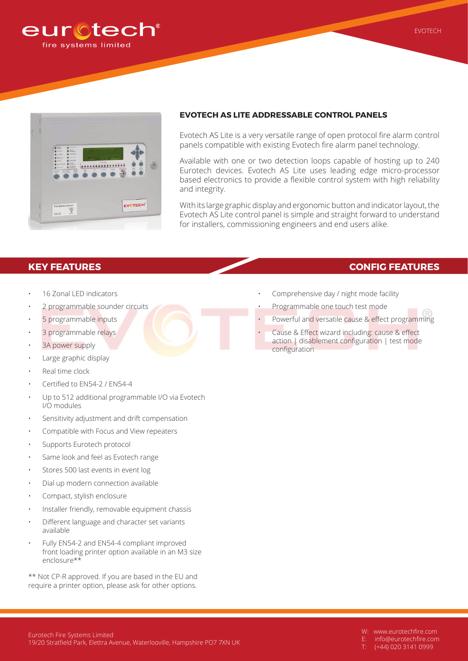



## **EVOTECH AS LITE ADDRESSABLE CONTROL PANELS**

Evotech AS Lite is a very versatile range of open protocol fire alarm control panels compatible with existing Evotech fire alarm panel technology.

Available with one or two detection loops capable of hosting up to 240 Eurotech devices. Evotech AS Lite uses leading edge micro-processor based electronics to provide a flexible control system with high reliability and integrity.

With its large graphic display and ergonomic button and indicator layout, the Evotech AS Lite control panel is simple and straight forward to understand for installers, commissioning engineers and end users alike.

## **KEY FEATURES CONFIG FEATURES**

- 16 Zonal LED indicators
- 2 programmable sounder circuits
- 5 programmable inputs
- 3 programmable relays
- 3A power supply
- Large graphic display
- Real time clock
- Certified to EN54-2 / EN54-4
- Up to 512 additional programmable I/O via Evotech I/O modules
- Sensitivity adjustment and drift compensation
- Compatible with Focus and View repeaters
- Supports Eurotech protocol
- Same look and feel as Evotech range
- Stores 500 last events in event log
- Dial up modern connection available
- Compact, stylish enclosure
- Installer friendly, removable equipment chassis
- Different language and character set variants available
- Fully EN54-2 and EN54-4 compliant improved front loading printer option available in an M3 size enclosure\*\*

\*\* Not CP-R approved. If you are based in the EU and require a printer option, please ask for other options.

## Comprehensive day / night mode facility

- Programmable one touch test mode
- Powerful and versatile cause & effect programming
- Cause & Effect wizard including: cause & effect action | disablement configuration | test mode configuration

W: www.eurotechfire.com

- E: info@eurotechfire.com
- T: (+44) 020 3141 0999

EVOTECH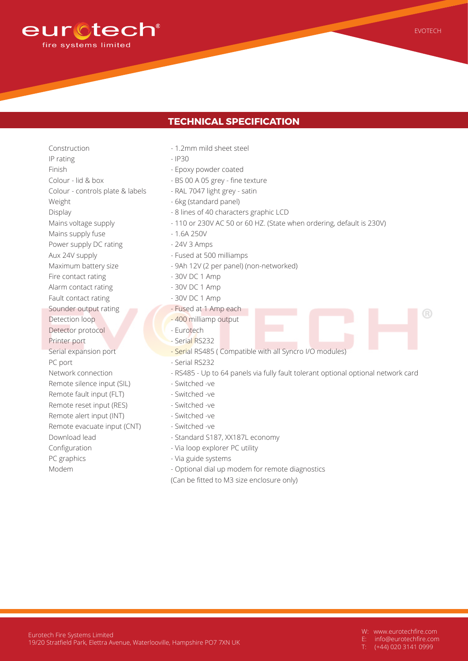

- Construction IP rating Finish Colour - lid & box Colour - controls plate & labels Weight Display Mains voltage supply Mains supply fuse Power supply DC rating Aux 24V supply Maximum battery size Fire contact rating Alarm contact rating Fault contact rating Sounder output rating Detection loop Detector protocol Printer port Serial expansion port PC port Network connection Remote silence input (SIL) Remote fault input (FLT) Remote reset input (RES) Remote alert input (INT) Remote evacuate input (CNT) Download lead Configuration PC graphics Modem
- 1.2mm mild sheet steel
- IP30
- Epoxy powder coated
- BS 00 A 05 grey fine texture
- RAL 7047 light grey satin
- 6kg (standard panel)
- 8 lines of 40 characters graphic LCD
- 110 or 230V AC 50 or 60 HZ. (State when ordering, default is 230V)
- 1.6A 250V
- 24V 3 Amps
- Fused at 500 milliamps
- 9Ah 12V (2 per panel) (non-networked)
- 30V DC 1 Amp
- 30V DC 1 Amp
- 30V DC 1 Amp
- Fused at 1 Amp each
- 400 milliamp output
- Eurotech
- Serial RS232
- Serial RS485 ( Compatible with all Syncro I/O modules)
- Serial RS232
- RS485 Up to 64 panels via fully fault tolerant optional optional network card
- Switched -ve
- Switched -ve
- Switched -ve
- Switched -ve
- Switched -ve
- Standard S187, XX187L economy
- Via loop explorer PC utility
- Via guide systems
- Optional dial up modem for remote diagnostics
- (Can be fitted to M3 size enclosure only)

W: www.eurotechfire.com

EVOTECH

 $( R )$ 

- E: info@eurotechfire.com
- $\overline{(+44)}$  020 3141 0999